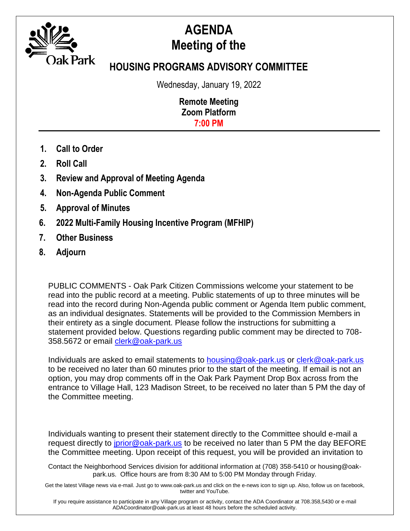

## **AGENDA Meeting of the**

## **HOUSING PROGRAMS ADVISORY COMMITTEE**

Wednesday, January 19, 2022

**Remote Meeting Zoom Platform 7:00 PM**

- **1. Call to Order**
- **2. Roll Call**
- **3. Review and Approval of Meeting Agenda**
- **4. Non-Agenda Public Comment**
- **5. Approval of Minutes**
- **6. 2022 Multi-Family Housing Incentive Program (MFHIP)**
- **7. Other Business**
- **8. Adjourn**

PUBLIC COMMENTS - Oak Park Citizen Commissions welcome your statement to be read into the public record at a meeting. Public statements of up to three minutes will be read into the record during Non-Agenda public comment or Agenda Item public comment, as an individual designates. Statements will be provided to the Commission Members in their entirety as a single document. Please follow the instructions for submitting a statement provided below. Questions regarding public comment may be directed to 708- 358.5672 or email [clerk@oak-park.us](mailto:clerk@oak-park.us)

Individuals are asked to email statements to [housing@oak-park.us](mailto:housing@oak-park.us) or [clerk@oak-park.us](mailto:clerk@oak-park.us) to be received no later than 60 minutes prior to the start of the meeting. If email is not an option, you may drop comments off in the Oak Park Payment Drop Box across from the entrance to Village Hall, 123 Madison Street, to be received no later than 5 PM the day of the Committee meeting.

Individuals wanting to present their statement directly to the Committee should e-mail a request directly to [jprior@oak-park.us](mailto:jprior@oak-park.us) to be received no later than 5 PM the day BEFORE the Committee meeting. Upon receipt of this request, you will be provided an invitation to

Contact the Neighborhood Services division for additional information at (708) 358-5410 or housing@oakpark.us. Office hours are from 8:30 AM to 5:00 PM Monday through Friday.

Get the latest Village news via e-mail. Just go to www.oak-park.us and click on the e-news icon to sign up. Also, follow us on facebook, twitter and YouTube.

If you require assistance to participate in any Village program or activity, contact the ADA Coordinator at 708.358,5430 or e-mail ADACoordinator@oak-park.us at least 48 hours before the scheduled activity.